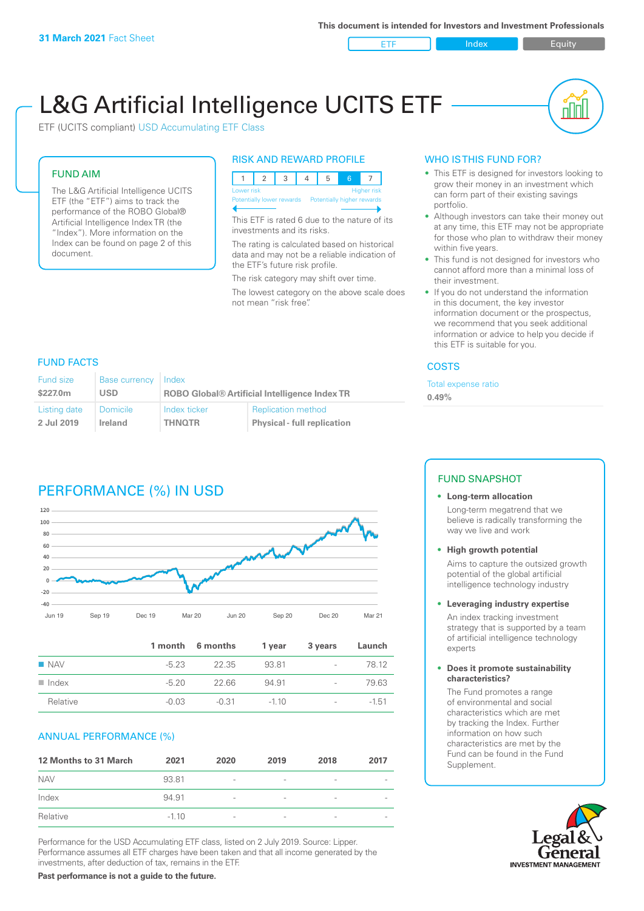ETF Index Buity

nl Inl

# L&G Artificial Intelligence UCITS ETF

ETF (UCITS compliant) USD Accumulating ETF Class

# FUND AIM

The L&G Artificial Intelligence UCITS ETF (the "ETF") aims to track the performance of the ROBO Global® Artificial Intelligence Index TR (the "Index"). More information on the Index can be found on page 2 of this document.

#### RISK AND REWARD PROFILE



This ETF is rated 6 due to the nature of its investments and its risks.

The rating is calculated based on historical data and may not be a reliable indication of the ETF's future risk profile.

The risk category may shift over time.

The lowest category on the above scale does not mean "risk free".

### WHO IS THIS FUND FOR?

- This ETF is designed for investors looking to grow their money in an investment which can form part of their existing savings portfolio.
- Although investors can take their money out at any time, this ETF may not be appropriate for those who plan to withdraw their money within five years.
- This fund is not designed for investors who cannot afford more than a minimal loss of their investment.
- If you do not understand the information in this document, the key investor information document or the prospectus, we recommend that you seek additional information or advice to help you decide if this ETF is suitable for you.

#### **COSTS**

Total expense ratio

**0.49%**

## FUND FACTS

| <b>Fund size</b> | <b>Base currency</b> | Index                                                |                                    |
|------------------|----------------------|------------------------------------------------------|------------------------------------|
| \$227.0m         | USD                  | <b>ROBO Global® Artificial Intelligence Index TR</b> |                                    |
| Listing date     | <b>Domicile</b>      | Index ticker                                         | <b>Replication method</b>          |
| 2 Jul 2019       | Ireland              | <b>THNOTR</b>                                        | <b>Physical - full replication</b> |

# PERFORMANCE (%) IN USD



|                      |         | 1 month 6 months | 1 year | 3 years                  | Launch  |
|----------------------|---------|------------------|--------|--------------------------|---------|
| $\blacksquare$ NAV   | -5.23   | 22.35            | 93.81  | $\sim$                   | 78.12   |
| $\blacksquare$ Index | $-520$  | 22.66            | 94.91  | $\overline{\phantom{a}}$ | 79.63   |
| Relative             | $-0.03$ | -0.31            | $-110$ | $\overline{\phantom{a}}$ | $-1,51$ |

### ANNUAL PERFORMANCE (%)

| <b>12 Months to 31 March</b> | 2021    | 2020                     | 2019                     | 2018            | 2017 |
|------------------------------|---------|--------------------------|--------------------------|-----------------|------|
| <b>NAV</b>                   | 93.81   | $\overline{\phantom{a}}$ |                          |                 |      |
| Index                        | 94.91   | $\overline{\phantom{a}}$ | $\overline{\phantom{a}}$ | $\qquad \qquad$ |      |
| Relative                     | $-1.10$ | $\overline{\phantom{a}}$ | $\overline{\phantom{a}}$ |                 |      |

Performance for the USD Accumulating ETF class, listed on 2 July 2019. Source: Lipper. Performance assumes all ETF charges have been taken and that all income generated by the investments, after deduction of tax, remains in the ETF.

### FUND SNAPSHOT

- **• Long-term allocation** Long-term megatrend that we believe is radically transforming the
- way we live and work **• High growth potential**

Aims to capture the outsized growth potential of the global artificial intelligence technology industry

#### **• Leveraging industry expertise**

An index tracking investment strategy that is supported by a team of artificial intelligence technology experts

#### **• Does it promote sustainability characteristics?**

The Fund promotes a range of environmental and social characteristics which are met by tracking the Index. Further information on how such characteristics are met by the Fund can be found in the Fund Supplement.



**Past performance is not a guide to the future.**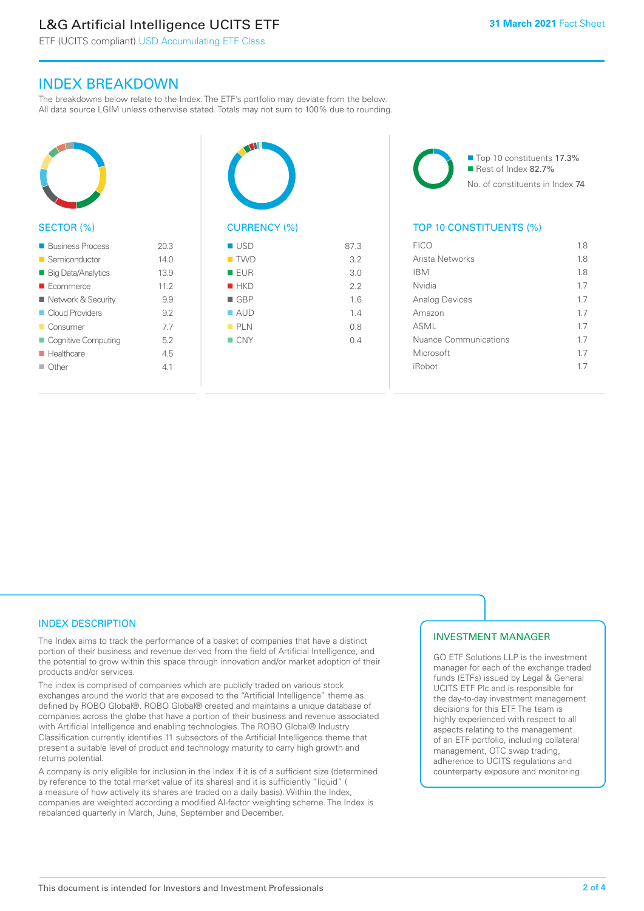# L&G Artificial Intelligence UCITS ETF

ETF (UCITS compliant) USD Accumulating ETF Class

# INDEX BREAKDOWN

The breakdowns below relate to the Index. The ETF's portfolio may deviate from the below. All data source LGIM unless otherwise stated. Totals may not sum to 100% due to rounding.



#### SECTOR (%)

| <b>Business Process</b>   | 20.3 |
|---------------------------|------|
| Semiconductor             | 140  |
| <b>Big Data/Analytics</b> | 13.9 |
| $\blacksquare$ Ecommerce  | 11.2 |
| Network & Security        | 99   |
| Cloud Providers           | 92   |
| <b>Consumer</b>           | 7.7  |
| Cognitive Computing       | 52   |
| <b>Healthcare</b>         | 45   |
| $\Box$ Other              | 41   |
|                           |      |



| $\blacksquare$ TWD | 3.2 |
|--------------------|-----|
| EUR                | 3.0 |
| HKD                | 2.2 |
| $\blacksquare$ GBP | 1.6 |
| $\blacksquare$ AUD | 1.4 |
| PLN                | 0.8 |
| $\Box$ CNY         | 0.4 |
|                    |     |
|                    |     |

■ Top 10 constituents 17.3% ■ Rest of Index 82.7% No. of constituents in Index 74

### TOP 10 CONSTITUENTS (%)

| <b>FICO</b>                  | 1.8 |
|------------------------------|-----|
| Arista Networks              | 1.8 |
| <b>IBM</b>                   | 18  |
| Nvidia                       | 1.7 |
| <b>Analog Devices</b>        | 17  |
| Amazon                       | 17  |
| ASMI                         | 17  |
| <b>Nuance Communications</b> | 17  |
| Microsoft                    | 17  |
| iRobot                       | 17  |
|                              |     |

#### INDEX DESCRIPTION

The Index aims to track the performance of a basket of companies that have a distinct portion of their business and revenue derived from the field of Artificial Intelligence, and the potential to grow within this space through innovation and/or market adoption of their products and/or services.

The index is comprised of companies which are publicly traded on various stock exchanges around the world that are exposed to the "Artificial Intelligence" theme as defined by ROBO Global®. ROBO Global® created and maintains a unique database of companies across the globe that have a portion of their business and revenue associated with Artificial Intelligence and enabling technologies. The ROBO Global® Industry Classification currently identifies 11 subsectors of the Artificial Intelligence theme that present a suitable level of product and technology maturity to carry high growth and returns potential.

A company is only eligible for inclusion in the Index if it is of a sufficient size (determined by reference to the total market value of its shares) and it is sufficiently "liquid" ( a measure of how actively its shares are traded on a daily basis). Within the Index, companies are weighted according a modified AI-factor weighting scheme. The Index is rebalanced quarterly in March, June, September and December.

### INVESTMENT MANAGER

GO ETF Solutions LLP is the investment manager for each of the exchange traded funds (ETFs) issued by Legal & General UCITS ETF Plc and is responsible for the day-to-day investment management decisions for this ETF. The team is highly experienced with respect to all aspects relating to the management of an ETF portfolio, including collateral management, OTC swap trading, adherence to UCITS regulations and counterparty exposure and monitoring.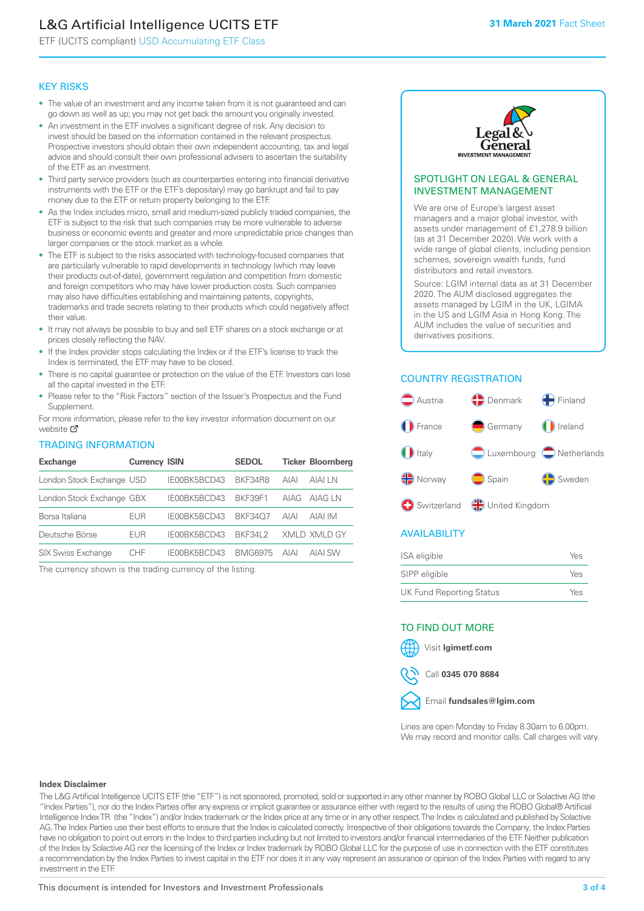# L&G Artificial Intelligence UCITS ETF

ETF (UCITS compliant) USD Accumulating ETF Class

#### KEY RISKS

- The value of an investment and any income taken from it is not guaranteed and can go down as well as up; you may not get back the amount you originally invested.
- An investment in the ETF involves a significant degree of risk. Any decision to invest should be based on the information contained in the relevant prospectus. Prospective investors should obtain their own independent accounting, tax and legal advice and should consult their own professional advisers to ascertain the suitability of the ETF as an investment.
- Third party service providers (such as counterparties entering into financial derivative instruments with the ETF or the ETF's depositary) may go bankrupt and fail to pay money due to the ETF or return property belonging to the ETF.
- As the Index includes micro, small and medium-sized publicly traded companies, the ETF is subject to the risk that such companies may be more vulnerable to adverse business or economic events and greater and more unpredictable price changes than larger companies or the stock market as a whole.
- The ETF is subject to the risks associated with technology-focused companies that are particularly vulnerable to rapid developments in technology (which may leave their products out-of-date), government regulation and competition from domestic and foreign competitors who may have lower production costs. Such companies may also have difficulties establishing and maintaining patents, copyrights, trademarks and trade secrets relating to their products which could negatively affect their value.
- It may not always be possible to buy and sell ETF shares on a stock exchange or at prices closely reflecting the NAV.
- If the Index provider stops calculating the Index or if the ETF's license to track the Index is terminated, the ETF may have to be closed.
- There is no capital guarantee or protection on the value of the ETF. Investors can lose all the capital invested in the ETF.
- Please refer to the "Risk Factors" section of the Issuer's Prospectus and the Fund Supplement.

For mo[re inf](https://www.lgimetf.com/)ormation, please refer to the key investor information document on our website Ø

#### TRADING INFORMATION

| <b>Exchange</b>           | <b>Currency ISIN</b> |              | <b>SEDOL</b>   |             | <b>Ticker Bloomberg</b> |
|---------------------------|----------------------|--------------|----------------|-------------|-------------------------|
| London Stock Exchange USD |                      | IE00BK5BCD43 | BKF34R8        | <b>AIAI</b> | AIAI LN                 |
| London Stock Exchange GBX |                      | IE00BK5BCD43 | BKF39F1        | AIAG        | AIAG LN                 |
| Borsa Italiana            | EUR                  | IE00BK5BCD43 | <b>BKF3407</b> | <b>AIAI</b> | AIAI IM                 |
| Deutsche Börse            | EUR                  | IE00BK5BCD43 | <b>BKF34L2</b> |             | XMLD XMLD GY            |
| <b>SIX Swiss Exchange</b> | <b>CHF</b>           | IE00BK5BCD43 | <b>BMG6975</b> | <b>AIAI</b> | <b>AIAI SW</b>          |

The currency shown is the trading currency of the listing.



#### SPOTLIGHT ON LEGAL & GENERAL INVESTMENT MANAGEMENT

We are one of Europe's largest asset managers and a major global investor, with assets under management of £1,278.9 billion (as at 31 December 2020). We work with a wide range of global clients, including pension schemes, sovereign wealth funds, fund distributors and retail investors.

Source: LGIM internal data as at 31 December 2020. The AUM disclosed aggregates the assets managed by LGIM in the UK, LGIMA in the US and LGIM Asia in Hong Kong. The AUM includes the value of securities and derivatives positions.

## COUNTRY REGISTRATION



### AVAILABILITY

| ISA eligible                    | Yes |
|---------------------------------|-----|
| SIPP eligible                   | Yes |
| <b>UK Fund Reporting Status</b> | Yes |

#### TO FIND OUT MORE

Visit **lgimetf.com**



Email **fundsales@lgim.com**

Lines are open Monday to Friday 8.30am to 6.00pm. We may record and monitor calls. Call charges will vary.

#### **Index Disclaimer**

The L&G Artificial Intelligence UCITS ETF (the "ETF") is not sponsored, promoted, sold or supported in any other manner by ROBO Global LLC or Solactive AG (the "Index Parties"), nor do the Index Parties offer any express or implicit guarantee or assurance either with regard to the results of using the ROBO Global® Artificial Intelligence Index TR (the "Index") and/or Index trademark or the Index price at any time or in any other respect. The Index is calculated and published by Solactive AG. The Index Parties use their best efforts to ensure that the Index is calculated correctly. Irrespective of their obligations towards the Company, the Index Parties have no obligation to point out errors in the Index to third parties including but not limited to investors and/or financial intermediaries of the ETF. Neither publication of the Index by Solactive AG nor the licensing of the Index or Index trademark by ROBO Global LLC for the purpose of use in connection with the ETF constitutes a recommendation by the Index Parties to invest capital in the ETF nor does it in any way represent an assurance or opinion of the Index Parties with regard to any investment in the ETF.